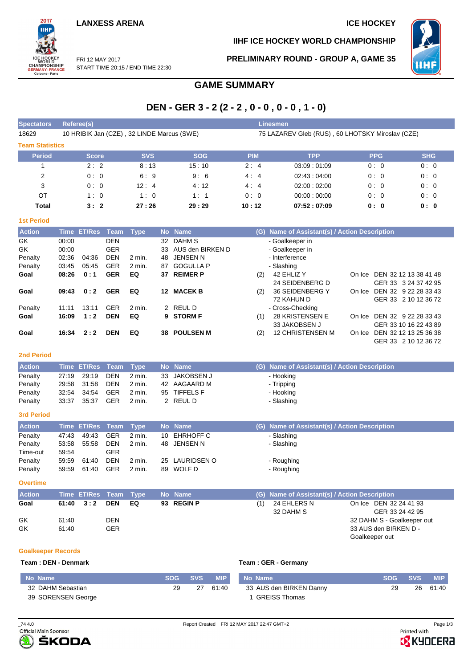**IIHF ICE HOCKEY WORLD CHAMPIONSHIP**



FRI 12 MAY 2017 START TIME 20:15 / END TIME 22:30 **PRELIMINARY ROUND - GROUP A, GAME 35**

# **GAME SUMMARY**

## **DEN - GER 3 - 2 (2 - 2 , 0 - 0 , 0 - 0 , 1 - 0)**

| <b>Spectators</b>      | Referee(s)<br><b>Linesmen</b>              |            |            |            |                                                  |            |            |  |  |  |  |  |  |
|------------------------|--------------------------------------------|------------|------------|------------|--------------------------------------------------|------------|------------|--|--|--|--|--|--|
| 18629                  | 10 HRIBIK Jan (CZE), 32 LINDE Marcus (SWE) |            |            |            | 75 LAZAREV Gleb (RUS), 60 LHOTSKY Miroslav (CZE) |            |            |  |  |  |  |  |  |
| <b>Team Statistics</b> |                                            |            |            |            |                                                  |            |            |  |  |  |  |  |  |
| <b>Period</b>          | <b>Score</b>                               | <b>SVS</b> | <b>SOG</b> | <b>PIM</b> | <b>TPP</b>                                       | <b>PPG</b> | <b>SHG</b> |  |  |  |  |  |  |
|                        | 2:2                                        | 8:13       | 15:10      | 2:4        | 03:09:01:09                                      | 0:0        | 0:0        |  |  |  |  |  |  |
| 2                      | 0:0                                        | 6:9        | 9:6        | 4:4        | 02.43:04:00                                      | 0:0        | 0:0        |  |  |  |  |  |  |
| 3                      | 0:0                                        | 12:4       | 4:12       | 4:4        | 02:00:02:00                                      | 0:0        | 0:0        |  |  |  |  |  |  |
| OT                     | 1:0                                        | 1:0        | 1:1        | 0:0        | 00:00:00:00                                      | 0:0        | 0:0        |  |  |  |  |  |  |
| Total                  | 3:2                                        | 27:26      | 29:29      | 10:12      | 07:52:07:09                                      | 0: 0       | 0:0        |  |  |  |  |  |  |

#### **1st Period**

2017

WORLD<br>CHAMPIONSHIP<br>GERMANY-FRANCE<br>Cologne - Paris

| <b>Action</b> |       | Time ET/Res | Team       | <b>Type</b>       |     | No Name          |     | (G) Name of Assistant(s) / Action Description |         |                       |  |  |  |
|---------------|-------|-------------|------------|-------------------|-----|------------------|-----|-----------------------------------------------|---------|-----------------------|--|--|--|
| GK            | 00:00 |             | <b>DEN</b> |                   | 32  | DAHM S           |     | - Goalkeeper in                               |         |                       |  |  |  |
| GK            | 00:00 |             | <b>GER</b> |                   | 33  | AUS den BIRKEN D |     | - Goalkeeper in                               |         |                       |  |  |  |
| Penalty       | 02:36 | 04:36       | <b>DEN</b> | $2$ min.          | 48. | JENSEN N         |     | - Interference                                |         |                       |  |  |  |
| Penalty       | 03:45 | 05:45       | <b>GER</b> | $2 \text{ min}$ . | 87  | <b>GOGULLA P</b> |     | - Slashing                                    |         |                       |  |  |  |
| Goal          | 08:26 | 0:1         | <b>GER</b> | EQ                | 37  | <b>REIMERP</b>   | (2) | 42 EHLIZ Y                                    | On Ice. | DEN 32 12 13 38 41 48 |  |  |  |
|               |       |             |            |                   |     |                  |     | 24 SEIDENBERG D                               |         | GER 33 3 24 37 42 95  |  |  |  |
| Goal          | 09:43 | 0:2         | <b>GER</b> | EQ                | 12  | <b>MACEK B</b>   | (2) | 36 SEIDENBERG Y                               | On Ice  | DEN 32 9 22 28 33 43  |  |  |  |
|               |       |             |            |                   |     |                  |     | 72 KAHUN D                                    |         | GER 33 2 10 12 36 72  |  |  |  |
| Penalty       | 11:11 | 13:11       | <b>GER</b> | $2$ min.          |     | 2 REUL D         |     | - Cross-Checking                              |         |                       |  |  |  |
| Goal          | 16:09 | 1:2         | <b>DEN</b> | EQ                |     | 9 STORM F        | (1) | <b>28 KRISTENSEN E</b>                        | On Ice  | DEN 32 9 22 28 33 43  |  |  |  |
|               |       |             |            |                   |     |                  |     | 33 JAKOBSEN J                                 |         | GER 33 10 16 22 43 89 |  |  |  |
| Goal          | 16:34 | 2:2         | <b>DEN</b> | EQ                | 38  | <b>POULSEN M</b> | (2) | <b>12 CHRISTENSEN M</b>                       | On Ice  | DEN 32 12 13 25 36 38 |  |  |  |
|               |       |             |            |                   |     |                  |     |                                               |         | GER 33 2 10 12 36 72  |  |  |  |

### **2nd Period**

| <b>Action</b> |       | Time ET/Res Team Type |     |        | No Name       | (G) Name of Assistant(s) / Action Description |
|---------------|-------|-----------------------|-----|--------|---------------|-----------------------------------------------|
| Penalty       |       | 27:19 29:19           | DEN | 2 min. | 33 JAKOBSEN J | - Hooking                                     |
| Penalty       |       | 29:58 31:58           | DEN | 2 min. | 42 AAGAARD M  | - Tripping                                    |
| Penalty       |       | 32:54 34:54           | GER | 2 min. | 95 TIFFELS F  | - Hooking                                     |
| Penalty       | 33:37 | 35:37                 | GER | 2 min. | 2 REUL D      | - Slashing                                    |

#### **3rd Period**

| <b>Action</b> |       | Time ET/Res Team Type |            |        | No Name        | (G) Name of Assistant(s) / Action Description |
|---------------|-------|-----------------------|------------|--------|----------------|-----------------------------------------------|
| Penalty       | 47.43 | 49:43                 | GER        | 2 min. | 10 EHRHOFF C   | - Slashing                                    |
| Penalty       | 53:58 | 55.58                 | <b>DEN</b> | 2 min. | 48 JENSEN N    | - Slashing                                    |
| Time-out      | 59:54 |                       | GER        |        |                |                                               |
| Penalty       | 59:59 | 61:40                 | <b>DEN</b> | 2 min. | 25 LAURIDSEN O | - Roughing                                    |
| Penalty       | 59.59 | 61:40                 | <b>GER</b> | 2 min. | 89 WOLF D      | - Roughing                                    |

#### **Overtime**

| <b>Action</b> |                   | Time ET/Res Team Type |            |    | No Name    |     | (G) Name of Assistant(s) / Action Description |                            |
|---------------|-------------------|-----------------------|------------|----|------------|-----|-----------------------------------------------|----------------------------|
| Goal          | $61:40 \quad 3:2$ |                       | <b>DEN</b> | EQ | 93 REGIN P | (1) | 24 EHLERS N                                   | On Ice DEN 32 24 41 93     |
|               |                   |                       |            |    |            |     | 32 DAHM S                                     | GER 33 24 42 95            |
| GK            | 61:40             |                       | DEN        |    |            |     |                                               | 32 DAHM S - Goalkeeper out |
| GK            | 61:40             |                       | GER        |    |            |     |                                               | 33 AUS den BIRKEN D -      |
|               |                   |                       |            |    |            |     |                                               | Goalkeeper out             |

### **Goalkeeper Records**

#### **Team : DEN - Denmark Team : GER - Germany**

| No Name            | <b>SOG</b> | <b>SVS</b> | <b>MIP</b> | No Name                 | SOG SVS | <b>MIP</b> |
|--------------------|------------|------------|------------|-------------------------|---------|------------|
| 32 DAHM Sebastian  | 29         | 27         | 61:40      | 33 AUS den BIRKEN Danny | 29      | 26 61:40   |
| 39 SORENSEN George |            |            |            | l GREISS Thomas         |         |            |



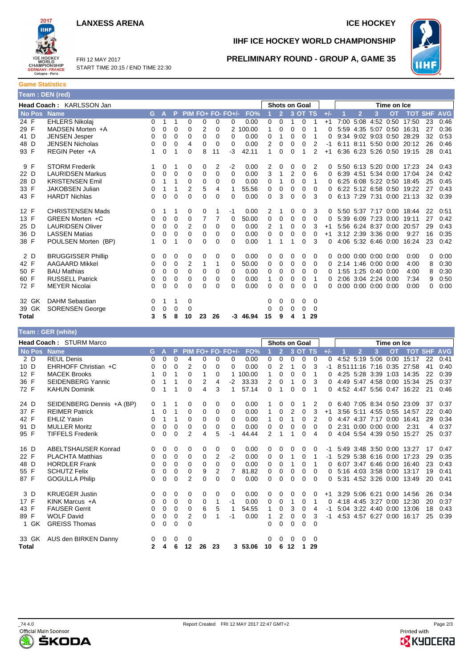### **LANXESS ARENA ICE HOCKEY**



FRI 12 MAY 2017 START TIME 20:15 / END TIME 22:30

## **IIHF ICE HOCKEY WORLD CHAMPIONSHIP**



### **PRELIMINARY ROUND - GROUP A, GAME 35**

**Game Statistics Team : DEN (red)**

| $1$ vani . DEN (row) |                           |    |          |             |                |    |          |                      |            |    |                      |          |             |          |          |      |                |                             |           |                           |            |            |
|----------------------|---------------------------|----|----------|-------------|----------------|----|----------|----------------------|------------|----|----------------------|----------|-------------|----------|----------|------|----------------|-----------------------------|-----------|---------------------------|------------|------------|
|                      | Head Coach: KARLSSON Jan  |    |          |             |                |    |          |                      |            |    | <b>Shots on Goal</b> |          | Time on Ice |          |          |      |                |                             |           |                           |            |            |
| <b>No Pos</b>        | <b>Name</b>               | G. | А        | P           |                |    |          | PIM FO+ FO- FO+/-    | FO%        |    | $\overline{2}$       |          | 3 OT TS     |          | $+/-$    |      | $\overline{2}$ | 3                           | <b>OT</b> | <b>TOT</b>                | <b>SHF</b> | <b>AVG</b> |
| 24 F                 | <b>EHLERS Nikolaj</b>     | 0  | 1        | 1           | $\mathbf 0$    | 0  | 0        | 0                    | 0.00       | 0  | 0                    |          | 0           | 1        | $+1$     | 7:00 | 5:08           | 4:52                        | 0:50      | 17:50                     | 23         | 0:46       |
| 29 F                 | MADSEN Morten +A          | 0  | 0        | $\Omega$    | 0              | 2  | 0        | $\mathbf{2}^{\circ}$ | 100.00     | 1  | 0                    | 0        | 0           |          | $\Omega$ | 5:59 |                | $4:35$ 5:07 0:50            |           | 16:31                     | 27         | 0:36       |
| 41 D                 | <b>JENSEN Jesper</b>      | 0  | 0        | 0           | 0              | 0  | 0        | 0                    | 0.00       | 0  | 1                    | 0        | 0           | 1        | O        | 9:34 |                | $9:02$ $9:03$ $0:50$        |           | 28:29                     | 32         | 0:53       |
| 48 D                 | <b>JENSEN Nicholas</b>    | 0  | 0        | $\Omega$    | 4              | 0  | 0        | 0                    | 0.00       | 2  | 0                    |          | 0           | 2        |          | 6:11 |                | 8:11 5:50 0:00              |           | 20:12                     | 26         | 0:46       |
| 93 F                 | REGIN Peter +A            | 1  | $\Omega$ | 1           | 0              | 8  | 11       | -3                   | 42.11      |    | 0                    | 0        |             | 2        | $+1$     | 6:36 |                |                             |           | 6:23 5:26 0:50 19:15      | 28         | 0:41       |
| 9 F                  | <b>STORM Frederik</b>     | 1  | $\Omega$ | 1           | 0              | 0  | 2        | $-2$                 | 0.00       | 2  | 0                    | 0        | $\Omega$    | 2        | 0        |      |                |                             |           | 5:50 6:13 5:20 0:00 17:23 | 24         | 0:43       |
| 22 D                 | <b>LAURIDSEN Markus</b>   | 0  | $\Omega$ | 0           | 0              | 0  | 0        | 0                    | 0.00       | 3  | 1                    | 2        | 0           | 6        | 0        | 6:39 |                | 4:51 5:34 0:00              |           | 17:04                     | 24         | 0:42       |
| 28 D                 | <b>KRISTENSEN Emil</b>    | 0  |          | 1           | 0              | 0  | 0        | 0                    | 0.00       | 0  |                      | 0        | 0           | 1        | 0        | 6:25 |                | 6:08 5:22 0:50              |           | 18:45                     | 25         | 0:45       |
| 33 F                 | <b>JAKOBSEN Julian</b>    | 0  |          | 1           | $\overline{2}$ | 5  | 4        | 1                    | 55.56      | 0  | 0                    | 0        | 0           | 0        | 0        |      |                |                             |           | 6:22 5:12 6:58 0:50 19:22 | 27         | 0:43       |
| 43 F                 | <b>HARDT Nichlas</b>      | 0  | 0        | $\mathbf 0$ | 0              | 0  | 0        | 0                    | 0.00       | 0  | 3                    | $\Omega$ | $\mathbf 0$ | 3        | $\Omega$ |      |                |                             |           | 6:13 7:29 7:31 0:00 21:13 | 32         | 0:39       |
| 12 F                 | <b>CHRISTENSEN Mads</b>   | 0  |          | 1           | 0              | 0  |          | $-1$                 | 0.00       | 2  |                      | 0        | 0           | 3        | 0        |      |                |                             |           | 5.50 5.37 7.17 0.00 18.44 | 22         | 0:51       |
| 13 F                 | GRFFN Morten +C           | 0  | 0        | 0           | 0              | 7  | 7        | 0                    | 50.00      | 0  | 0                    | 0        | 0           | 0        | 0        | 5:39 |                | 6:09 7:23 0:00              |           | 19:11                     | 27         | 0:42       |
| 25 D                 | <b>LAURIDSEN Oliver</b>   | 0  | 0        | $\mathbf 0$ | 2              | 0  | 0        | 0                    | 0.00       | 2  | 1                    | 0        | 0           | 3        | $+1$     |      |                | 5:56 6:24 8:37 0:00         |           | 20:57                     | 29         | 0:43       |
| 36 D                 | <b>LASSEN Matias</b>      | 0  | 0        | 0           | 0              | 0  | 0        | 0                    | 0.00       | 0  | 0                    | 0        | 0           | 0        | $+1$     |      |                | 3:12 2:39 3:36 0:00         |           | 9:27                      | 16         | 0:35       |
| 38 F                 | POULSEN Morten (BP)       | 1  | $\Omega$ | 1           | 0              | 0  | $\Omega$ | 0                    | 0.00       |    |                      | 1        | 0           | 3        | $\Omega$ |      |                | 4:06 5:32 6:46 0:00         |           | 16:24                     | 23         | 0:42       |
| 2 D                  | <b>BRUGGISSER Phillip</b> | 0  | 0        | 0           | 0              | 0  | 0        | 0                    | 0.00       | 0  | 0                    | 0        | 0           | 0        | $\Omega$ |      |                | $0:00$ $0:00$ $0:00$ $0:00$ |           | 0:00                      | 0          | 0:00       |
| 42 F                 | <b>AAGAARD Mikkel</b>     | 0  | 0        | $\mathbf 0$ | 2              | 1  |          | 0                    | 50.00      | 0  | 0                    | 0        | 0           | 0        | 0        |      |                | 2:14 1:46 0:00 0:00         |           | 4:00                      | 8          | 0:30       |
| 50 F                 | <b>BAU Mathias</b>        | 0  | 0        | 0           | 0              | 0  | 0        | 0                    | 0.00       | 0  | 0                    | 0        | 0           | 0        | 0        |      |                | 1:55 1:25 0:40 0:00         |           | 4:00                      | 8          | 0:30       |
| 60 F                 | <b>RUSSELL Patrick</b>    | 0  | 0        | 0           | 0              | 0  | 0        | 0                    | 0.00       | 1  | 0                    | 0        | 0           | 1        | 0        | 2:06 |                | 3:04 2:24 0:00              |           | 7:34                      | 9          | 0:50       |
| 72 F                 | <b>MEYER Nicolai</b>      | 0  | 0        | 0           | 0              | 0  | 0        | 0                    | 0.00       | 0  | 0                    | $\Omega$ | 0           | $\Omega$ | $\Omega$ |      |                | $0:00$ $0:00$ $0:00$ $0:00$ |           | 0:00                      | 0          | 0:00       |
| 32 GK                | <b>DAHM Sebastian</b>     | 0  | 1        | 1           | 0              |    |          |                      |            | 0  | 0                    | 0        | 0           | 0        |          |      |                |                             |           |                           |            |            |
| 39 GK                | <b>SORENSEN George</b>    | 0  | $\Omega$ | $\Omega$    | 0              |    |          |                      |            | 0  | 0                    | 0        | 0           | 0        |          |      |                |                             |           |                           |            |            |
| Total                |                           | 3  | 5        | 8           | 10             | 23 | 26       |                      | $-3$ 46.94 | 15 | 9                    | 4        | 1           | 29       |          |      |                |                             |           |                           |            |            |

#### **Team : GER (white) Head Coach :** STURM Marco **Shots on Goal <b>Shots on Goal Shots on Goal <b>Time on Ice**<br>No Best Name **Shots on Community** Communication Communication Communication Communication Communication Communication Communication Com **No Pos Name G A P PIM FO+ FO- FO+/- FO% 1 2 3 OT TS +/- 1 2 3 OT TOT SHF AVG** 2 D REUL Denis 0 0 0 4 0 0 0 0.00 0 0 0 0 0 0 4:52 5:19 5:06 0:00 15:17 22 0:41 10 D EHRHOFF Christian +C 0 0 0 2 0 0 0 0.00 0 2 1 0 3 -1 8:5111:16 7:16 0:35 27:58 41 0:40<br>1 0 1 0 1 0 1 0 1 0 0 0 0 0 1 0 4:25 5:28 3:39 1:03 14:35 22 0:39 MACEK Brooks 1 0 1 0 1 0 1 0 1 100.00 1 0 0 0 1 0 4:25 5:28 3:39 1:03 14:35 22 0:39 36 F SEIDENBERG Yannic 0 1 1 0 2 4 -2 33.33 2 0 1 0 3 0 4:49 5:47 4:58 0:00 15:34 25 0:37 72 F KAHUN Dominik 0 1 1 0 4 3 1 57.14 0 1 0 0 1 0 4:52 4:47 5:56 0:47 16:22 21 0:46 24 D SEIDENBERG Dennis +A (BP) 0 1 1 0 0 0 0 0 0.00 1 0 0 1 2 0 6:40 7:05 8:34 0:50 23:09 37 0:37<br>37 F REIMER Patrick 1 0 1 0 0 0 0 0.00 1 0 2 0 3 +1 3:56 5:11 4:55 0:55 14:57 22 0:40 37 F REIMER Patrick  $\begin{array}{cccccccc} 1 & 0 & 1 & 0 & 0 & 0 & 0 & 0.00 & 1 & 0 & 2 & 0 & 3 & +1 & 3:56 & 5:11 & 4:55 & 0:55 & 14:57 \\ 42 & F & EHLIZ Yasin & 0.01 & 0.0 & 1 & 1 & 0 & 0 & 0 & 0 & 0.00 & 1 & 0 & 1 & 0 & 2 & 0 & 4:47 & 4:37 & 7:17 & 0:00 & 16:41 \end{array}$ 42 F EHLIZ Yasin 0 1 1 0 0 0 0 0.00 1 0 1 0 2 0 4:47 4:37 7:17 0:00 16:41 29 0:34 91 D MULLER Moritz 0 0 0 0 0 0 0 0.00 0 0 0 0 0 0 2:31 0:00 0:00 0:00 2:31 4 0:37 95 F TIFFELS Frederik 0 0 0 2 4 5 -1 44.44 2 1 1 0 4 0 4:04 5:54 4:39 0:50 15:27 25 0:37 16 D ABELTSHAUSER Konrad 0 0 0 0 0 0 0 0 0 0 0 0 0 0 0 0 1 5:49 3:48 3:50 0:00 13:27 17 0:47<br>22 F PLACHTA Matthias 0 0 0 0 0 2 -2 0.00 0 0 1 0 1 -1 5:29 5:38 6:16 0:00 17:23 29 0:35 22 F PLACHTA Matthias 0 0 0 0 0 2 -2 0.00 0 0 1 0 1 -1 5:29 5:38 6:16 0:00 17:23 29<br>48 D HORDLER Frank 0 0 0 0 0 0 0 0 0 0 0 0 0 1 0 1 0 6:07 3:47 6:46 0:00 16:40 23 48 D HORDLER Frank 0 0 0 0 0 0 0 0.00 0 0 1 0 1 0 6:07 3:47 6:46 0:00 16:40 23 0:43 55 F SCHUTZ Felix 0 0 0 0 9 2 7 81.82 0 0 0 0 0 0 5:16 4:03 3:58 0:00 13:17 19 0:41 87 F GOGULLA Philip 0 0 0 2 0 0 0 0.00 0 0 0 0 0 0 5:31 4:52 3:26 0:00 13:49 20 0:41 3 D KRUEGER Justin 0 0 0 0 0 0 0 0.00 0 0 0 0 0 +1 3:29 5:06 6:21 0:00 14:56 26 0:34 17 F KINK Marcus +A 0 0 0 0 0 0 1 -1 0.00 0 0 1 0 1 0 4:18 4:45 3:27 0:00 12:30<br>43 F FALISER Gerrit 0 0 0 0 6 5 1 54.55 1 0 3 0 4 -1 5:04 3:22 4:40 0:00 13:06 43 F FAUSER Gerrit 0 0 0 0 0 6 5 1 54.55 1 0 3 0 4 -1 5:04 3:22 4:40 0:00 13:06 18 0:43<br>1 89 F WOLF David 0 0 0 0 2 0 1 -1 0.00 1 2 0 0 3 -1 4:53 4:57 6:27 0:00 16:17 25 0:39 89 F M -1 0.00 1 2 0 0 3 -1 4:53 4:57 6:27 0:00 16:17 25 1 GK GREISS Thomas 0 0 0 0 0 0 0 0 0 33 GK AUS den BIRKEN Danny 0 0 0 0 0 0 0 0 0 **Total 2 4 6 12 26 23 3 53.06 10 6 12 1 29**